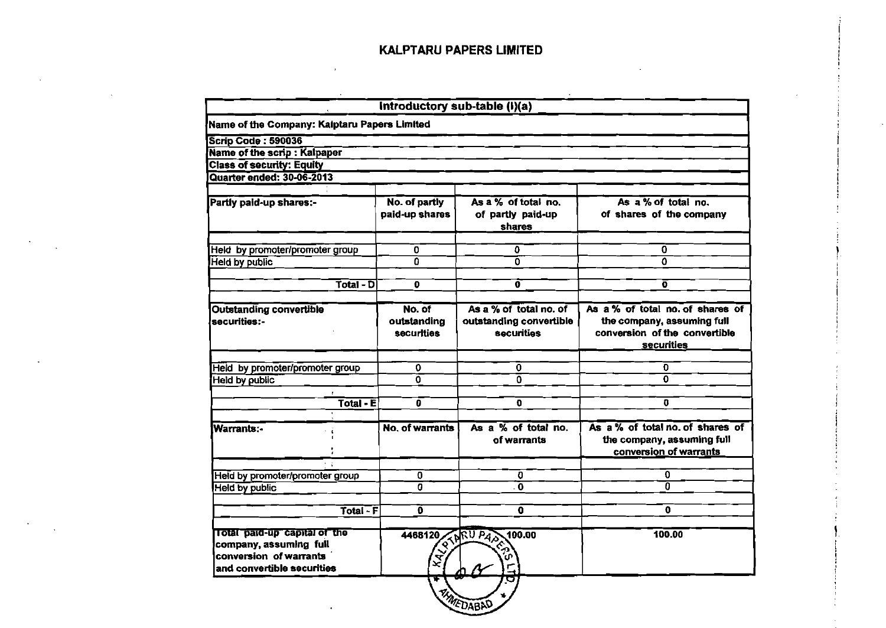|                                                                                                                | Introductory sub-table (I)(a) |                                       |                                                                                          |
|----------------------------------------------------------------------------------------------------------------|-------------------------------|---------------------------------------|------------------------------------------------------------------------------------------|
| Name of the Company: Kaiptaru Papers Limited                                                                   |                               |                                       |                                                                                          |
| <b>Scrip Code: 590036</b>                                                                                      |                               |                                       |                                                                                          |
| Name of the scrip : Kalpaper                                                                                   |                               |                                       |                                                                                          |
| <b>Class of security: Equity</b>                                                                               |                               |                                       |                                                                                          |
| <b>Quarter ended: 30-06-2013</b>                                                                               |                               |                                       |                                                                                          |
| Partly paid-up shares:-                                                                                        | No. of partly                 | As a % of total no.                   | As a % of total no.                                                                      |
|                                                                                                                | paid-up shares                | of partly paid-up<br>shares           | of shares of the company                                                                 |
| Held by promoter/promoter group                                                                                | 0                             | 0                                     | 0                                                                                        |
| <b>Held by public</b>                                                                                          | O.                            | Ō                                     | $\Omega$                                                                                 |
| $\overline{\text{Total - D}}$                                                                                  | O                             | ō                                     | ō                                                                                        |
| <b>Outstanding convertible</b>                                                                                 | No. of                        | As a % of total no. of                | As a % of total no. of shares of                                                         |
| securities:-                                                                                                   | outstanding<br>securities     | outstanding convertible<br>securities | the company, assuming full<br>conversion of the convertible<br><b>securities</b>         |
| Held by promoter/promoter group                                                                                | 0                             | 0                                     | O                                                                                        |
| <b>Held by public</b>                                                                                          | Ō                             | $\Omega$                              | 0                                                                                        |
|                                                                                                                |                               |                                       |                                                                                          |
| Total - E                                                                                                      | ō                             | O                                     | 0                                                                                        |
| Warrants:-                                                                                                     | No. of warrants               | As a % of total no.<br>of warrants    | As a % of total no. of shares of<br>the company, assuming full<br>conversion of warrants |
| Held by promoter/promoter group                                                                                | 0                             | O                                     | 0                                                                                        |
| <b>Held by public</b>                                                                                          | 0                             | . 0                                   | $\overline{\mathfrak{o}}$                                                                |
| Total - F                                                                                                      | Ő                             | 0                                     | $\mathbf{0}$                                                                             |
| Total paid-up capital of the<br>company, assuming full<br>conversion of warrants<br>and convertible securities | 4468120                       | 100.00<br>REVIEW PAS                  | 100.00                                                                                   |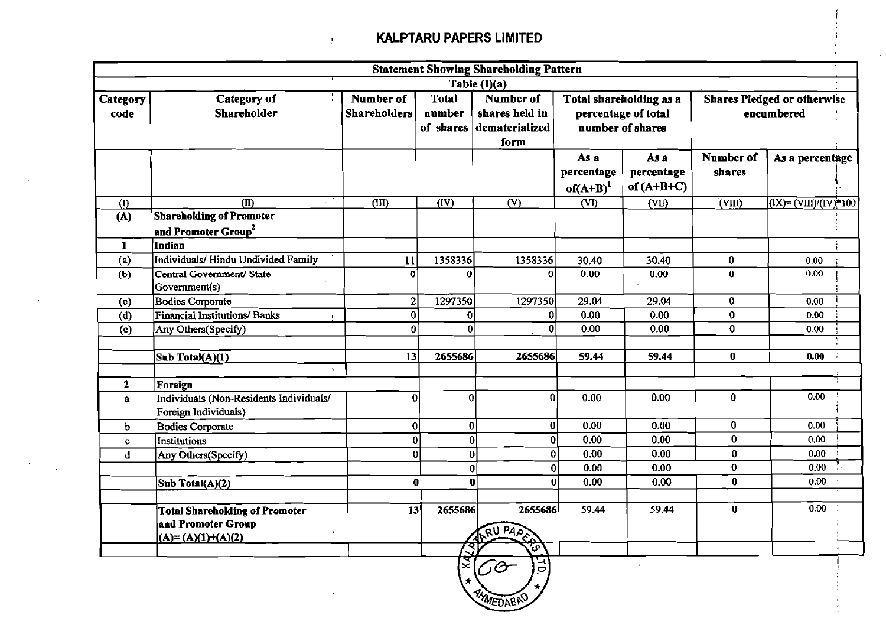$\mathbf{A}^{\prime}$ 

|                  | <b>Statement Showing Shareholding Pattern</b>                                      |                                                                                                                                                                                                        |                              |                           |                                   |                                                  |                            |                            |  |
|------------------|------------------------------------------------------------------------------------|--------------------------------------------------------------------------------------------------------------------------------------------------------------------------------------------------------|------------------------------|---------------------------|-----------------------------------|--------------------------------------------------|----------------------------|----------------------------|--|
|                  |                                                                                    |                                                                                                                                                                                                        |                              | Table $(I)(a)$            |                                   |                                                  |                            |                            |  |
| Category<br>code | Category of<br>Shareholder                                                         | Number of<br><b>Total</b><br>Number of<br>Total shareholding as a<br>percentage of total<br><b>Shareholders</b><br>number<br>shares held in<br>number of shares<br>of shares<br>dematerialized<br>form |                              |                           |                                   | <b>Shares Pledged or otherwise</b><br>encumbered |                            |                            |  |
|                  |                                                                                    |                                                                                                                                                                                                        |                              |                           | As a<br>percentage<br>$of(A+B)^1$ | As a<br>percentage<br>of $(A+B+C)$               | Number of<br>shares        | As a percentage            |  |
| (1)              | $\overline{(\text{II})}$                                                           | (III)                                                                                                                                                                                                  | $\overline{(\overline{IV})}$ | $\overline{(\mathsf{V})}$ | $\overline{\text{}}$ (VI)         | $\overline{\text{VII}}$                          | $\overline{\text{(VIII)}}$ | $(IX)$ = $(VIII)/(IV)*100$ |  |
| (A)              | <b>Shareholding of Promoter</b><br>and Promoter Group <sup>2</sup>                 |                                                                                                                                                                                                        |                              |                           |                                   |                                                  |                            |                            |  |
| $\mathbf{I}$     | Indian                                                                             |                                                                                                                                                                                                        |                              |                           |                                   |                                                  |                            |                            |  |
| (a)              | Individuals/Hindu Undivided Family                                                 | 11                                                                                                                                                                                                     | 1358336                      | 1358336                   | 30.40                             | 30.40                                            | $\bf{0}$                   | 0.00                       |  |
| (b)              | Central Government/ State<br>Government(s)                                         |                                                                                                                                                                                                        |                              | U                         | 0.00                              | 0.00                                             | $\mathbf{0}$               | 0.00                       |  |
| (c)              | <b>Bodies Corporate</b>                                                            | $\overline{2}$                                                                                                                                                                                         | 1297350                      | 1297350                   | 29.04                             | 29.04                                            | $\mathbf 0$                | 0.00                       |  |
| (d)              | <b>Financial Institutions/ Banks</b>                                               | $\bf{0}$                                                                                                                                                                                               | $\bf{0}$                     | 0                         | 0.00                              | 0.00                                             | $\bf{0}$                   | 0.00                       |  |
| (e)              | Any Others(Specify)                                                                | $\mathbf{0}$                                                                                                                                                                                           | $\bf{0}$                     | $\Omega$                  | 0.00                              | 0.00                                             | $\mathbf 0$                | 0.00                       |  |
|                  | Sub Total(A)(1)                                                                    | 13                                                                                                                                                                                                     | 2655686                      | 2655686                   | 59.44                             | 59.44                                            | $\mathbf{0}$               | 0.00                       |  |
| $\mathbf{2}$     | Foreign                                                                            |                                                                                                                                                                                                        |                              |                           |                                   |                                                  |                            |                            |  |
| $\mathbf{a}$     | Individuals (Non-Residents Individuals/<br>Foreign Individuals)                    | $\bf{0}$                                                                                                                                                                                               | $\bf{0}$                     | $\mathbf{0}$              | 0.00                              | 0.00                                             | $\bf{0}$                   | 0.00                       |  |
| $\mathbf b$      | <b>Bodies Corporate</b>                                                            | $\bf{0}$                                                                                                                                                                                               | $\bf{0}$                     | 0                         | 0.00                              | 0.00                                             | $\bf{0}$                   | 0.00                       |  |
| c                | Institutions                                                                       | $\bf{0}$                                                                                                                                                                                               | $\bf{0}$                     | $\bf{0}$                  | 0.00                              | 0.00                                             | $\bf{0}$                   | 0.00                       |  |
| $\mathbf d$      | Any Others(Specify)                                                                | $\overline{0}$                                                                                                                                                                                         | $\bf{0}$                     | $\bf{0}$                  | 0.00                              | 0.00                                             | $\bf{0}$                   | 0.00                       |  |
|                  |                                                                                    |                                                                                                                                                                                                        | $\bf{0}$                     | $\bf{0}$                  | 0.00                              | 0.00                                             | $\bf{0}$                   | 0.00                       |  |
|                  | Sub Total(A)(2)                                                                    | $\bf{0}$                                                                                                                                                                                               |                              | $\mathbf 0$<br>$\bf{0}$   | 0.00                              | 0.00                                             | $\mathbf 0$                | 0.00                       |  |
|                  | <b>Total Shareholding of Promoter</b><br>and Promoter Group<br>$(A)=(A)(1)+(A)(2)$ | 13                                                                                                                                                                                                     | 2655686                      | 2655686<br>RUPAPE<br>Ĵ۴   | 59.44                             | 59.44                                            | $\mathbf 0$                | 0.00                       |  |
|                  |                                                                                    |                                                                                                                                                                                                        |                              | ΕĊ<br>$\mathcal{G}$       |                                   |                                                  |                            |                            |  |

⁄/EƊAይ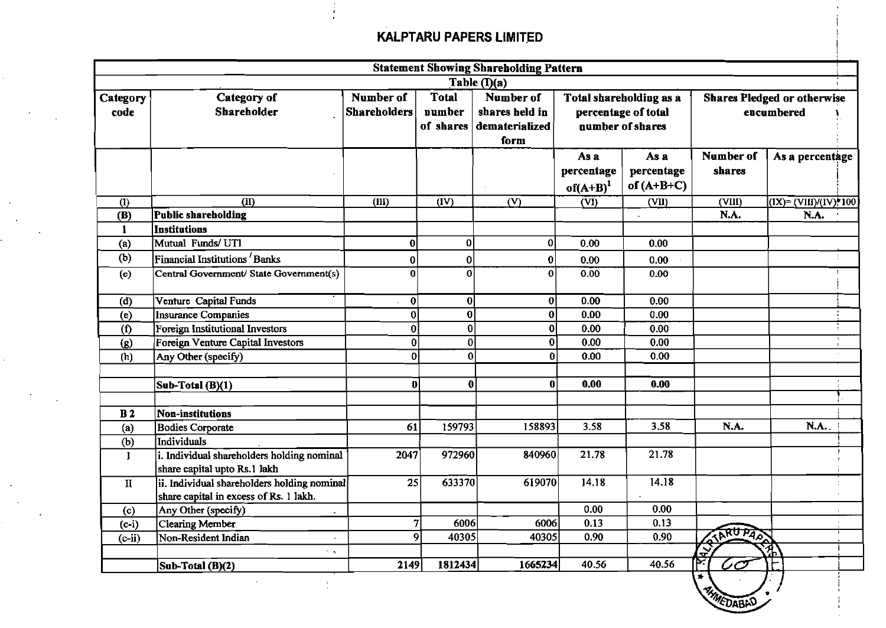|                  | <b>Statement Showing Shareholding Pattern</b>                                         |                                  |                                     |                                                       |                                                                    |                                    |                                                  |                          |  |
|------------------|---------------------------------------------------------------------------------------|----------------------------------|-------------------------------------|-------------------------------------------------------|--------------------------------------------------------------------|------------------------------------|--------------------------------------------------|--------------------------|--|
|                  |                                                                                       |                                  |                                     | Table $(\overline{I})(a)$                             |                                                                    |                                    |                                                  |                          |  |
| Category<br>code | <b>Category of</b><br>Shareholder                                                     | Number of<br><b>Shareholders</b> | <b>Total</b><br>number<br>of shares | Number of<br>shares held in<br>dematerialized<br>form | Total shareholding as a<br>percentage of total<br>number of shares |                                    | <b>Shares Pledged or otherwise</b><br>encumbered |                          |  |
|                  |                                                                                       |                                  |                                     |                                                       | As a<br>percentage<br>$of(A+B)^1$                                  | As a<br>percentage<br>of $(A+B+C)$ | Number of<br>shares                              | As a percentage          |  |
| (1)              | $\overline{(\text{II})}$                                                              | (III)                            | $\overline{(\text{IV})}$            | $\overline{N}$                                        | $\overline{\text{(VI)}}$                                           | (VII)                              | (VIII)                                           | $(IX) = (VIII)/(IV)*100$ |  |
| (B)              | Public shareholding                                                                   |                                  |                                     |                                                       |                                                                    |                                    | N.A.                                             | N.A.                     |  |
| $\mathbf{1}$     | Institutions                                                                          |                                  |                                     |                                                       |                                                                    |                                    |                                                  |                          |  |
| (a)              | Mutual Funds/UTI                                                                      | 0                                | $\bf{0}$                            | $\boldsymbol{0}$                                      | 0.00                                                               | 0.00                               |                                                  |                          |  |
| (b)              | Financial Institutions Banks                                                          | 0                                | 0                                   | 0                                                     | 0.00                                                               | 0.00                               |                                                  |                          |  |
| (c)              | Central Government/ State Government(s)                                               | $\Omega$                         | $\Omega$                            | $\Omega$                                              | 0.00                                                               | 0.00                               |                                                  |                          |  |
| (d)              | Venture Capital Funds                                                                 | $\bf{0}$                         | $\boldsymbol{0}$                    | 0                                                     | 0.00                                                               | 0.00                               |                                                  |                          |  |
| (e)              | <b>Insurance Companies</b>                                                            | $\overline{0}$                   | $\bf{0}$                            | $\bf{0}$                                              | 0.00                                                               | 0.00                               |                                                  |                          |  |
| (1)              | Foreign Institutional Investors                                                       | $\mathbf 0$                      | $\bf{0}$                            | $\pmb{0}$                                             | 0.00                                                               | 0.00                               |                                                  |                          |  |
| (g)              | Foreign Venture Capital Investors                                                     | $\bf{0}$                         | $\bf{0}$                            | $\bf{0}$                                              | 0.00                                                               | 0.00                               |                                                  |                          |  |
| (h)              | Any Other (specify)                                                                   | $\mathbf{0}$                     | $\bf{0}$                            | $\mathbf 0$                                           | 0.00                                                               | 0.00                               |                                                  |                          |  |
|                  |                                                                                       |                                  |                                     |                                                       |                                                                    |                                    |                                                  |                          |  |
|                  | Sub-Total (B)(1)                                                                      | $\bf{0}$                         | $\bf{0}$                            | $\bf{0}$                                              | 0.00                                                               | 0.00                               |                                                  |                          |  |
| B <sub>2</sub>   | Non-institutions                                                                      |                                  |                                     |                                                       |                                                                    |                                    |                                                  |                          |  |
| (a)              | <b>Bodies Corporate</b>                                                               | 61                               | 159793                              | 158893                                                | 3.58                                                               | 3.58                               | N.A.                                             | N.A.                     |  |
| (b)              | Individuals                                                                           |                                  |                                     |                                                       |                                                                    |                                    |                                                  |                          |  |
| -1               | i. Individual shareholders holding nominal<br>share capital upto Rs.1 lakh            | 2047                             | 972960                              | 840960                                                | 21.78                                                              | 21.78                              |                                                  |                          |  |
| $\mathbf{I}$     | ii. Individual shareholders holding nominal<br>share capital in excess of Rs. 1 lakh. | 25                               | 633370                              | 619070                                                | 14.18                                                              | 14.18                              |                                                  |                          |  |
| (c)              | Any Other (specify)                                                                   |                                  |                                     |                                                       | 0.00                                                               | 0.00                               |                                                  |                          |  |
| $(c-i)$          | <b>Clearing Member</b>                                                                | 7                                | 6006                                | 6006                                                  | 0.13                                                               | 0.13                               |                                                  |                          |  |
| $(c-ii)$         | Non-Resident Indian                                                                   |                                  | $\mathbf Q$<br>40305                | 40305                                                 | 0.90                                                               | 0.90                               | TARU PAS                                         |                          |  |
|                  | t A                                                                                   |                                  |                                     |                                                       |                                                                    |                                    | Ş                                                | 协                        |  |
|                  | Sub-Total (B)(2)                                                                      | 2149                             | 1812434                             | 1665234                                               | 40.56                                                              | 40.56                              |                                                  |                          |  |

 $\Delta \tau$ 

**i**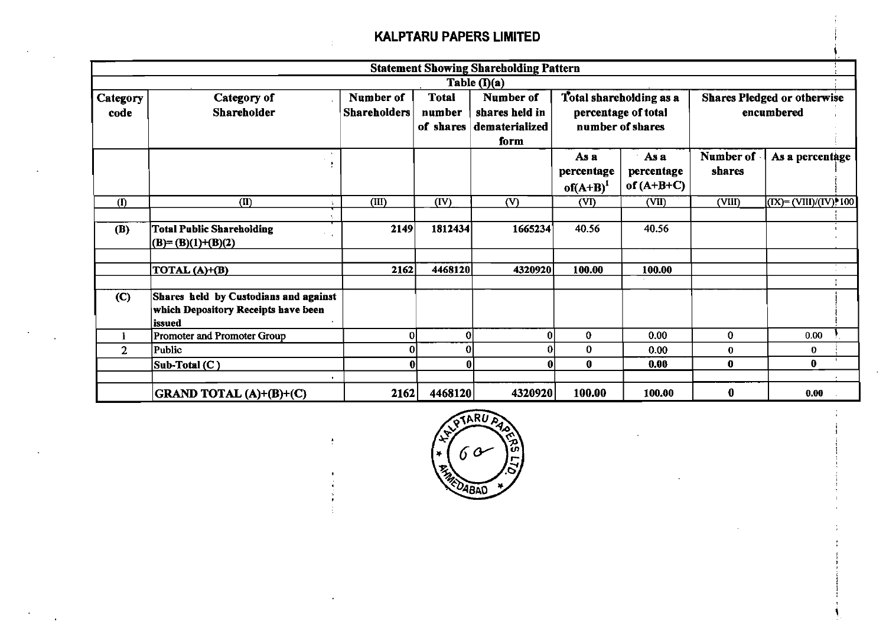|                  |                                                                                        |                                                         |                | <b>Statement Showing Shareholding Pattern</b>                         |                                 |                                                                    |                     |                                                  |
|------------------|----------------------------------------------------------------------------------------|---------------------------------------------------------|----------------|-----------------------------------------------------------------------|---------------------------------|--------------------------------------------------------------------|---------------------|--------------------------------------------------|
|                  |                                                                                        |                                                         |                | Table (I)(a)                                                          |                                 |                                                                    |                     |                                                  |
| Category<br>code | Category of<br>Shareholder                                                             | Number of<br><b>Shareholders</b><br>number<br>of shares |                | <b>Total</b><br>Number of<br>shares held in<br>dematerialized<br>form |                                 | Total shareholding as a<br>percentage of total<br>number of shares |                     | <b>Shares Pledged or otherwise</b><br>encumbered |
|                  |                                                                                        |                                                         |                |                                                                       | As a<br>percentage<br>$of(A+B)$ | As a<br>percentage<br>of $(A+B+C)$                                 | Number of<br>shares | As a percentage                                  |
| (1)              | $\overline{\text{(II)}}$                                                               | (III)                                                   | (IV)           | (V)                                                                   | (VI)                            | (VII)                                                              | (VIII)              | $(IX) = (VIII)/(IV)$ : 100                       |
| (B)              | <b>Total Public Shareholding</b><br>$(B)=(B)(1)+(B)(2)$                                | 2149                                                    | 1812434        | 1665234                                                               | 40.56                           | 40.56                                                              |                     |                                                  |
|                  | TOTAL (A)+(B)                                                                          | 2162                                                    | 4468120        | 4320920                                                               | 100.00                          | 100.00                                                             |                     |                                                  |
| $\mathbf{C}$     | Shares held by Custodians and against<br>which Depository Receipts have been<br>issued |                                                         |                |                                                                       |                                 |                                                                    |                     |                                                  |
|                  | Promoter and Promoter Group                                                            | ΩI                                                      | 0              | 0                                                                     | $\bf{0}$                        | 0.00                                                               | $\mathbf{0}$        | 0.00                                             |
| $\overline{2}$   | Public                                                                                 |                                                         | $\overline{0}$ | ΩI                                                                    | 0                               | 0.00                                                               | $\bf{0}$            | $\bf{0}$                                         |
|                  | Sub-Total (C)<br>$\blacksquare$                                                        |                                                         | 0              | $\mathbf{0}$                                                          | 0                               | 0.00                                                               | $\mathbf 0$         | $\bf{0}$                                         |
|                  | GRAND TOTAL (A)+(B)+(C)                                                                | 2162                                                    | 4468120        | 4320920                                                               | 100.00                          | 100.00                                                             | $\bf{0}$            | 0.00                                             |

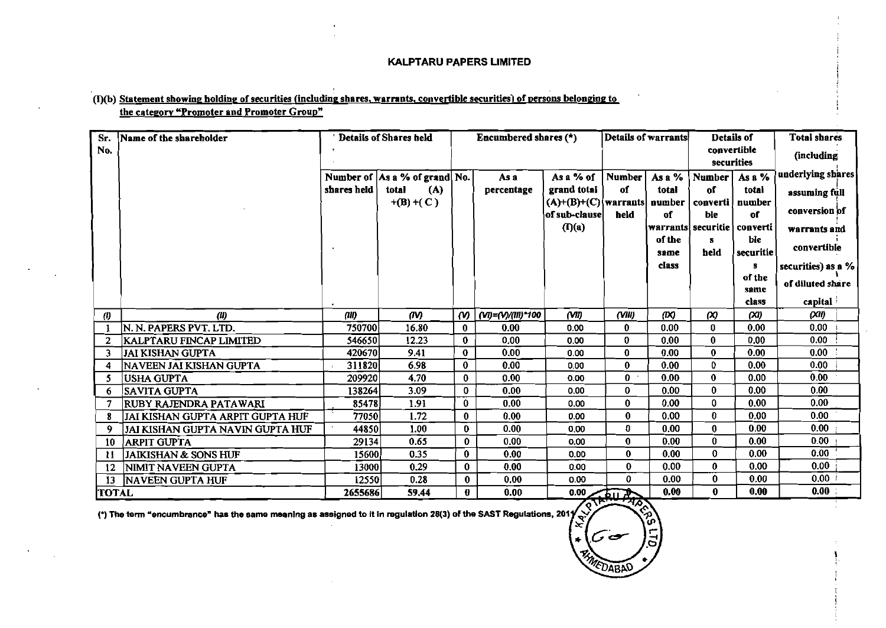## (I)(b) Statement showing holding of securities (including shares, warrants, convertible securities) of persons belonging to the category "Promoter and Promoter Group"

| Sr.                   | Name of the shareholder          |             | 'Details of Shares held       |                       | Encumbered shares $(*)$ |                                             | Details of warrants |        | Details of                             |                    | <b>Total shares</b>  |
|-----------------------|----------------------------------|-------------|-------------------------------|-----------------------|-------------------------|---------------------------------------------|---------------------|--------|----------------------------------------|--------------------|----------------------|
| No.                   |                                  |             |                               |                       |                         |                                             |                     |        | convertible<br>securities              |                    | (including           |
|                       |                                  |             | Number of As a % of grand No. |                       | As a                    | As a % of                                   | <b>Number</b>       | As a % | Number                                 | As a $\sqrt[9]{6}$ | underlying shares    |
|                       |                                  | shares held | (A)<br>total                  |                       | percentage              | grand total                                 | of                  | total  | of                                     | total              | assuming full        |
|                       |                                  |             | $+(B)+(C)$                    |                       |                         | $(A)+(B)+(C)$ warrants number               |                     |        | converti                               | number<br>of       | conversion of        |
|                       |                                  |             |                               |                       |                         | of sub-clause<br>$(\mathbf{I})(\mathbf{a})$ | held                | of     | ble<br> warrants  securitie   converti |                    |                      |
|                       |                                  |             |                               |                       |                         |                                             |                     | of the | 8                                      | ble                | warrants and         |
|                       |                                  |             |                               |                       |                         |                                             |                     | same   | held                                   | securitie          | convertible          |
|                       |                                  |             |                               |                       |                         |                                             |                     | class  |                                        | s                  | securities) as a $%$ |
|                       |                                  |             |                               |                       |                         |                                             |                     |        |                                        | of the             | of diluted share     |
|                       |                                  |             |                               |                       |                         |                                             |                     |        |                                        | same<br>class      | capital i            |
| $\boldsymbol{\theta}$ | (1)                              | (11)        | (IV)                          | $\boldsymbol{\omega}$ | (VI)=(V)/(III)*100      | (VII)                                       | $($ VIII)           | (X)    | $\infty$                               | (XI)               | (XI)                 |
|                       | N. N. PAPERS PVT. LTD.           | 750700      | 16.80                         | $\bf{0}$              | 0.00                    | 0.00                                        | $\mathbf{0}$        | 0.00   | $\bf{0}$                               | 0.00               | 0.00                 |
| $\overline{2}$        | KALPTARU FINCAP LIMITED          | 546650      | 12.23                         | $\mathbf 0$           | 0.00                    | 0.00                                        | $\mathbf 0$         | 0.00   | $\bf{0}$                               | 0.00               | 0.00                 |
| 3                     | <b>JAI KISHAN GUPTA</b>          | 420670      | 9.41                          | $\mathbf 0$           | 0.00                    | 0.00                                        | $\mathbf 0$         | 0.00   | $\mathbf{0}$                           | 0.00               | 0.00                 |
| 4                     | NAVEEN JAI KISHAN GUPTA          | 311820      | 6.98                          | $\bf{0}$              | 0.00                    | 0.00                                        | $\mathbf{0}$        | 0.00   | $\Omega$                               | 0.00               | 0.00                 |
| -5                    | <b>USHA GUPTA</b>                | 209920      | 4.70                          | $\mathbf{0}$          | 0.00                    | 0.00                                        | $\mathbf{0}$        | 0.00   | $\bf{0}$                               | 0.00               | 0.00                 |
| 6                     | SAVITA GUPTA                     | 138264      | 3.09                          | $\bf{0}$              | 0.00                    | 0.00                                        | $\bf{0}$            | 0.00   | $\bf{0}$                               | 0.00               | 0.00                 |
|                       | RUBY RAJENDRA PATAWARI           | 85478       | 1.91                          | $\bf{0}$              | 0.00                    | 0.00                                        | $\bf{0}$            | 0.00   | 0                                      | 0.00               | 0.00                 |
|                       | JAI KISHAN GUPTA ARPIT GUPTA HUF | 77050       | 1.72                          | $\bf{0}$              | 0.00                    | 0.00                                        | $\bf{0}$            | 0.00   | $\boldsymbol{0}$                       | 0.00               | 0.00 <sub>1</sub>    |
| -9                    | JAI KISHAN GUPTA NAVIN GUPTA HUF | 44850       | 1.00                          | $\bf{0}$              | 0.00                    | 0,00                                        | $\mathbf 0$         | 0.00   | $\bf{0}$                               | 0.00               | 0.00 <sub>1</sub>    |
| 10                    | <b>ARPIT GUPTA</b>               | 29134       | 0.65                          | $\pmb{0}$             | 0.00                    | 0.00                                        | $\bf{0}$            | 0.00   | $\bf{0}$                               | 0.00               | 0.00                 |
| -11                   | <b>JAIKISHAN &amp; SONS HUF</b>  | 15600       | 0.35                          | $\bf{0}$              | 0.00                    | 0.00                                        | $\bf{0}$            | 0.00   | 0                                      | 0.00               | 0.00                 |
| 12                    | NIMIT NAVEEN GUPTA               | 13000       | 0.29                          | $\bf{0}$              | 0.00                    | 0.00                                        | $\mathbf{0}$        | 0.00   | $\boldsymbol{0}$                       | 0.00               | 0.00                 |
| 13                    | <b>NAVEEN GUPTA HUF</b>          | 12550       | 0.28                          | $\bf{0}$              | 0.00                    | 0.00                                        | $\mathbf{0}$        | 0.00   | $\bf{0}$                               | 0.00               | 0.00                 |
| <b>TOTAL</b>          |                                  | 2655686     | 59.44                         | 0                     | 0.00                    |                                             | $-6.00$             | 0.00   | 0                                      | 0.00               | 0.00                 |

 $\mathbf{r}$ 

, 0

(.) The **tern** "encumbrance" **has** the same meanlng as assigned to It in reguiatlon **28(3)** of the SAST Regulations. 201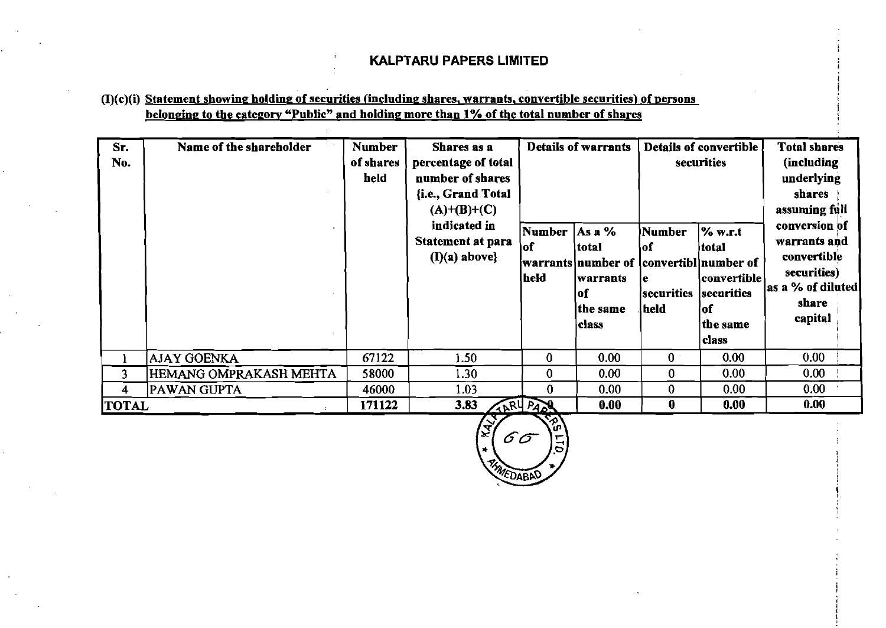I

I ! !

### $(I)(c)(i)$  Statement showing holding of securities (including shares, warrants, convertible securities) of persons belonging to the category "Public" and holding more than 1% of the total number of shares

| Sr.<br>No.   | Name of the shareholder | <b>Number</b><br>of shares<br>held | Shares as a<br>percentage of total<br>number of shares<br>{i.e., Grand Total<br>$(A)+(B)+(C)$<br>indicated in<br><b>Statement at para</b><br>$(I)(a)$ above} | Number<br>lof<br>held | <b>Details of warrants</b><br>As $a\%$<br>total<br> warrants number of  convertibl number of<br>warrants<br>lof | Number<br>\of<br>le<br>securities | Details of convertible<br>securities<br>$\%$ w.r.t<br>itotal<br> convertible <br>securities | <b>Total shares</b><br>(including)<br>underlying<br>shares<br>assuming full<br>conversion of<br>warrants and<br>convertible<br>securities)<br>as a % of diluted<br>share |
|--------------|-------------------------|------------------------------------|--------------------------------------------------------------------------------------------------------------------------------------------------------------|-----------------------|-----------------------------------------------------------------------------------------------------------------|-----------------------------------|---------------------------------------------------------------------------------------------|--------------------------------------------------------------------------------------------------------------------------------------------------------------------------|
|              |                         |                                    |                                                                                                                                                              |                       | the same<br>class                                                                                               | held                              | of<br>the same<br> class                                                                    | capital                                                                                                                                                                  |
|              | AJAY GOENKA             | 67122                              | 1.50 <sub>1</sub>                                                                                                                                            | 0                     | 0.00                                                                                                            | $\bf{0}$                          | 0.00                                                                                        | 0.00                                                                                                                                                                     |
| 3            | HEMANG OMPRAKASH MEHTA  | 58000                              | 1.30                                                                                                                                                         | 0                     | 0.00                                                                                                            | 0                                 | 0.00                                                                                        | 0.00 <sub>1</sub>                                                                                                                                                        |
| 4            | <b>PAWAN GUPTA</b>      | 46000                              | 1.03                                                                                                                                                         | $\bf{0}$              | 0.00                                                                                                            | 0                                 | 0.00 <sub>1</sub>                                                                           | 0.00                                                                                                                                                                     |
| <b>TOTAL</b> |                         | 171122                             | 3.83                                                                                                                                                         | TARY PARK             | 0.00                                                                                                            | $\bf{0}$                          | 0.00                                                                                        | 0.00                                                                                                                                                                     |

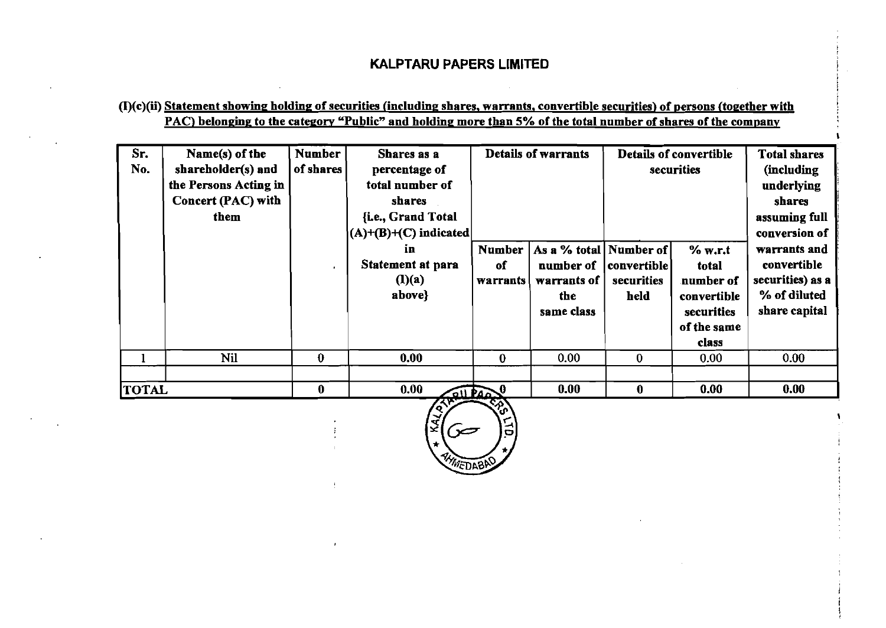$(D(c)(ii)$  Statement showing holding of securities (including shares, warrants, convertible securities) of persons (together with PAC) belonging to the category "Public" and holding more than 5% of the total number of shares of the company

| Sr.<br>No.   | Name(s) of the<br>shareholder(s) and<br>the Persons Acting in<br>Concert (PAC) with<br>them | <b>Number</b><br>of shares | Shares as a<br>percentage of<br>total number of<br><b>shares</b><br>{i.e., Grand Total<br>$(A)+(B)+(C)$ indicated | <b>Details of warrants</b>             |                                                                             | Details of convertible<br>securities |                                                                                    |                                                                                  |  | <b>Total shares</b><br>(including<br>underlying<br>shares<br>assuming full<br>conversion of |
|--------------|---------------------------------------------------------------------------------------------|----------------------------|-------------------------------------------------------------------------------------------------------------------|----------------------------------------|-----------------------------------------------------------------------------|--------------------------------------|------------------------------------------------------------------------------------|----------------------------------------------------------------------------------|--|---------------------------------------------------------------------------------------------|
|              |                                                                                             |                            | in<br><b>Statement at para</b><br>(l)(a)<br>above}                                                                | <b>Number</b><br>of<br><b>Warrants</b> | As a % total   Number of  <br>number of<br>warrants of<br>the<br>same class | convertible  <br>securities<br>held  | % w.r.t<br>total<br>number of<br>convertible<br>securities<br>of the same<br>class | warrants and<br>convertible<br>securities) as a<br>% of diluted<br>share capital |  |                                                                                             |
|              | <b>Nil</b>                                                                                  | $\bf{0}$                   | 0.00                                                                                                              | 0                                      | 0.00                                                                        | $\bf{0}$                             | 0.00                                                                               | 0.00                                                                             |  |                                                                                             |
| <b>TOTAL</b> |                                                                                             | $\bf{0}$                   | 0.00<br><b>QUILAO</b><br>77W -                                                                                    |                                        | 0.00                                                                        | 0                                    | 0.00                                                                               | 0.00                                                                             |  |                                                                                             |

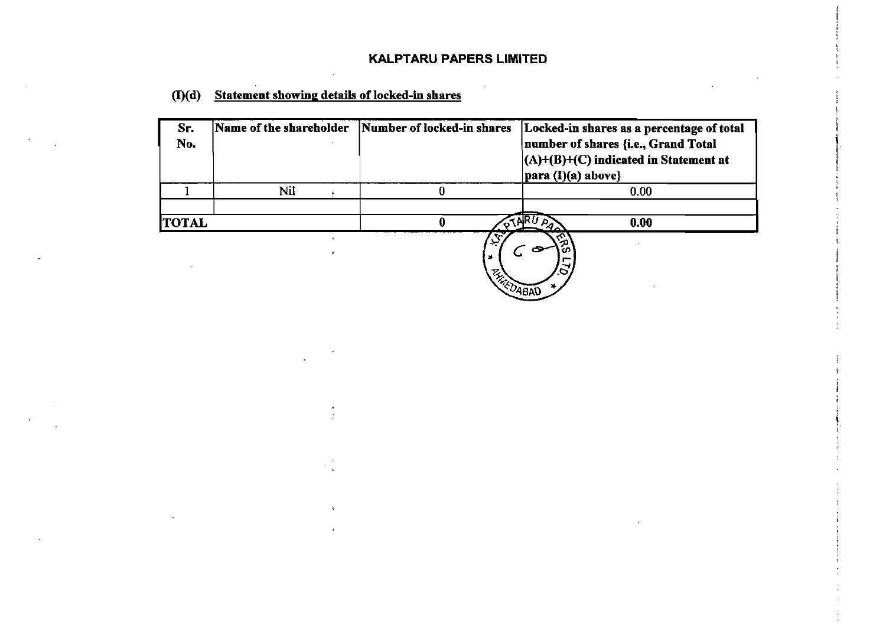# **O(d) Statement showing details of locked-in shares**

| Sr.<br>No.   | Name of the shareholder | Number of locked-in shares | Locked-in shares as a percentage of total<br>number of shares {i.e., Grand Total<br>$  (A)+ (B)+ (C)$ indicated in Statement at<br> para (I)(a) above} |  |  |
|--------------|-------------------------|----------------------------|--------------------------------------------------------------------------------------------------------------------------------------------------------|--|--|
|              | Nil                     |                            | 0.00                                                                                                                                                   |  |  |
| <b>TOTAL</b> |                         |                            | 0.00<br>Р,                                                                                                                                             |  |  |
|              |                         | سمي<br>工<br><b>ARRIVED</b> | Æ<br>s<br>$\tilde{\circ}$<br>ABN                                                                                                                       |  |  |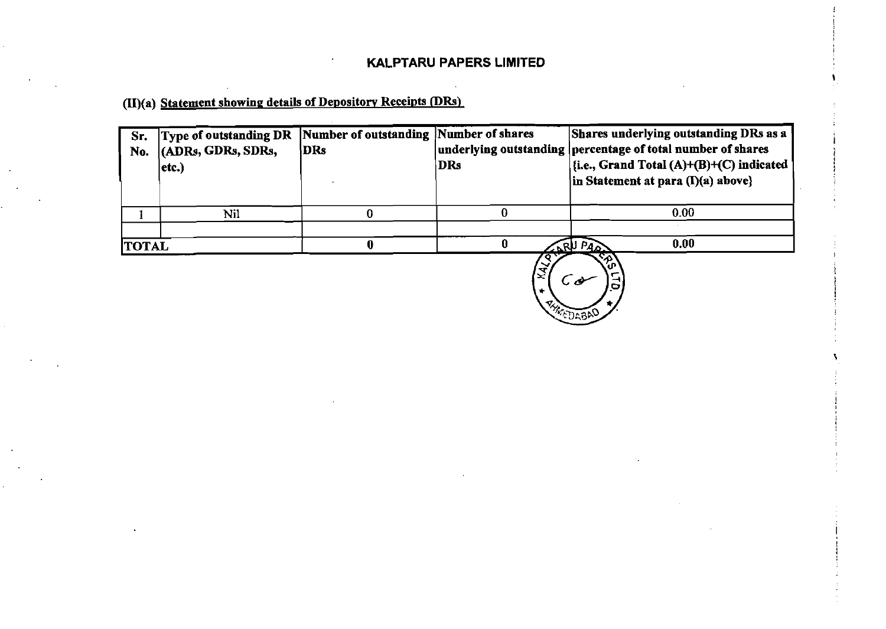**(II)(a)** Statement showing details of Depository Receipts (DRs)

| Sr.<br>No.   | <b>Type of outstanding DR</b><br>(ADRs, GDRs, SDRs,<br>$ $ etc. $)$ | Number of outstanding Number of shares<br>DRs | DRs                 | Shares underlying outstanding DRs as a<br>underlying outstanding percentage of total number of shares<br>$\left  \{i.e., Grand Total (A)+(B)+(C) indicated\right  \}$<br>in Statement at para $(I)(a)$ above} |
|--------------|---------------------------------------------------------------------|-----------------------------------------------|---------------------|---------------------------------------------------------------------------------------------------------------------------------------------------------------------------------------------------------------|
|              | Nil                                                                 |                                               |                     | 0.00                                                                                                                                                                                                          |
| <b>TOTAL</b> |                                                                     |                                               | $M^{\nu}$<br>$\sim$ | 0.00<br>PA <sub>o</sub><br>ーくい                                                                                                                                                                                |

**ARC**<br>(EQ ड़ि(  $\overline{C}$